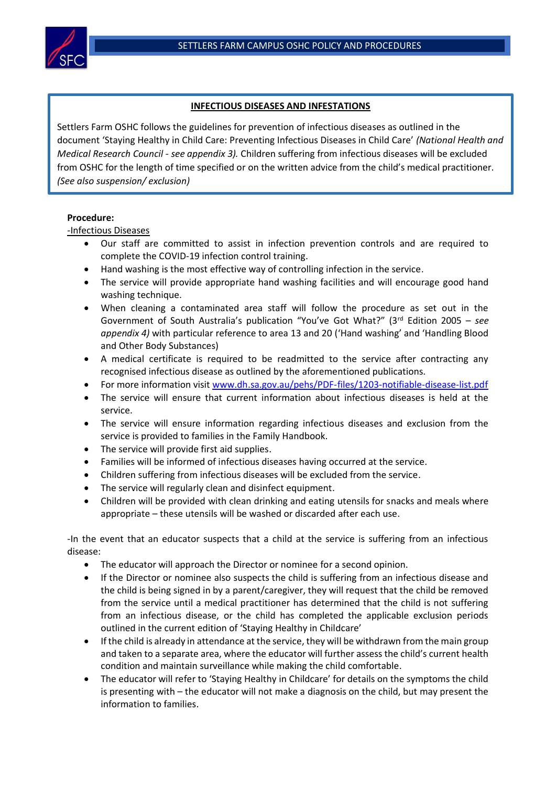

## **INFECTIOUS DISEASES AND INFESTATIONS**

Settlers Farm OSHC follows the guidelines for prevention of infectious diseases as outlined in the document 'Staying Healthy in Child Care: Preventing Infectious Diseases in Child Care' *(National Health and Medical Research Council - see appendix 3).* Children suffering from infectious diseases will be excluded from OSHC for the length of time specified or on the written advice from the child's medical practitioner. *(See also suspension/ exclusion)*

## **Procedure:**

-Infectious Diseases

- Our staff are committed to assist in infection prevention controls and are required to complete the COVID-19 infection control training.
- Hand washing is the most effective way of controlling infection in the service.
- The service will provide appropriate hand washing facilities and will encourage good hand washing technique.
- When cleaning a contaminated area staff will follow the procedure as set out in the Government of South Australia's publication "You've Got What?" (3rd Edition 2005 – *see appendix 4)* with particular reference to area 13 and 20 ('Hand washing' and 'Handling Blood and Other Body Substances)
- A medical certificate is required to be readmitted to the service after contracting any recognised infectious disease as outlined by the aforementioned publications.
- For more information visit [www.dh.sa.gov.au/pehs/PDF-files/1203-notifiable-disease-list.pdf](http://www.dh.sa.gov.au/pehs/PDF-files/1203-notifiable-disease-list.pdf)
- The service will ensure that current information about infectious diseases is held at the service.
- The service will ensure information regarding infectious diseases and exclusion from the service is provided to families in the Family Handbook.
- The service will provide first aid supplies.
- Families will be informed of infectious diseases having occurred at the service.
- Children suffering from infectious diseases will be excluded from the service.
- The service will regularly clean and disinfect equipment.
- Children will be provided with clean drinking and eating utensils for snacks and meals where appropriate – these utensils will be washed or discarded after each use.

-In the event that an educator suspects that a child at the service is suffering from an infectious disease:

- The educator will approach the Director or nominee for a second opinion.
- If the Director or nominee also suspects the child is suffering from an infectious disease and the child is being signed in by a parent/caregiver, they will request that the child be removed from the service until a medical practitioner has determined that the child is not suffering from an infectious disease, or the child has completed the applicable exclusion periods outlined in the current edition of 'Staying Healthy in Childcare'
- If the child is already in attendance at the service, they will be withdrawn from the main group and taken to a separate area, where the educator will further assess the child's current health condition and maintain surveillance while making the child comfortable.
- The educator will refer to 'Staying Healthy in Childcare' for details on the symptoms the child is presenting with – the educator will not make a diagnosis on the child, but may present the information to families.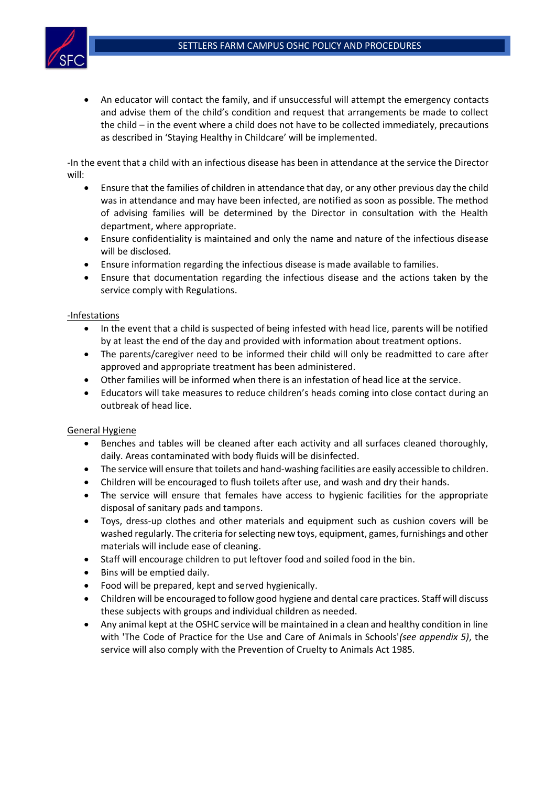

• An educator will contact the family, and if unsuccessful will attempt the emergency contacts and advise them of the child's condition and request that arrangements be made to collect the child – in the event where a child does not have to be collected immediately, precautions as described in 'Staying Healthy in Childcare' will be implemented.

-In the event that a child with an infectious disease has been in attendance at the service the Director will:

- Ensure that the families of children in attendance that day, or any other previous day the child was in attendance and may have been infected, are notified as soon as possible. The method of advising families will be determined by the Director in consultation with the Health department, where appropriate.
- Ensure confidentiality is maintained and only the name and nature of the infectious disease will be disclosed.
- Ensure information regarding the infectious disease is made available to families.
- Ensure that documentation regarding the infectious disease and the actions taken by the service comply with Regulations.

## -Infestations

- In the event that a child is suspected of being infested with head lice, parents will be notified by at least the end of the day and provided with information about treatment options.
- The parents/caregiver need to be informed their child will only be readmitted to care after approved and appropriate treatment has been administered.
- Other families will be informed when there is an infestation of head lice at the service.
- Educators will take measures to reduce children's heads coming into close contact during an outbreak of head lice.

## General Hygiene

- Benches and tables will be cleaned after each activity and all surfaces cleaned thoroughly, daily. Areas contaminated with body fluids will be disinfected.
- The service will ensure that toilets and hand-washing facilities are easily accessible to children.
- Children will be encouraged to flush toilets after use, and wash and dry their hands.
- The service will ensure that females have access to hygienic facilities for the appropriate disposal of sanitary pads and tampons.
- Toys, dress-up clothes and other materials and equipment such as cushion covers will be washed regularly. The criteria for selecting new toys, equipment, games, furnishings and other materials will include ease of cleaning.
- Staff will encourage children to put leftover food and soiled food in the bin.
- Bins will be emptied daily.
- Food will be prepared, kept and served hygienically.
- Children will be encouraged to follow good hygiene and dental care practices. Staff will discuss these subjects with groups and individual children as needed.
- Any animal kept at the OSHC service will be maintained in a clean and healthy condition in line with 'The Code of Practice for the Use and Care of Animals in Schools'*(see appendix 5)*, the service will also comply with the Prevention of Cruelty to Animals Act 1985*.*